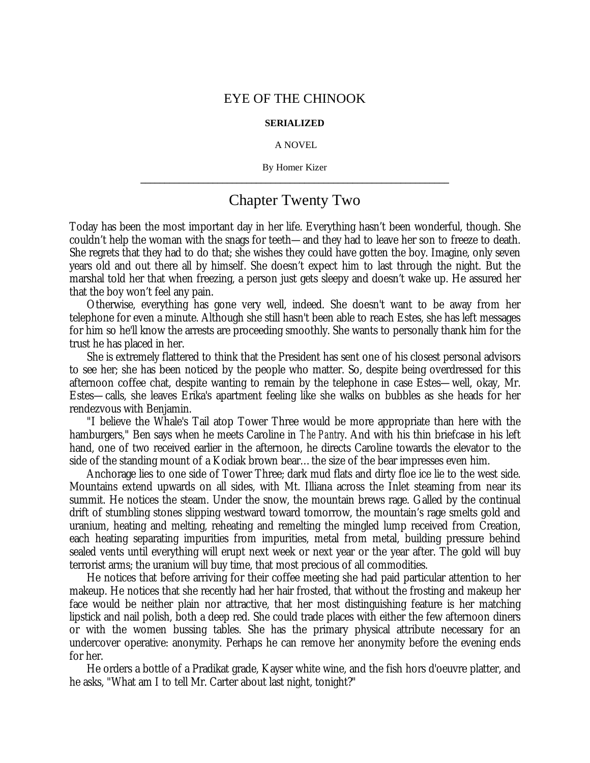## EYE OF THE CHINOOK

## **SERIALIZED**

## A NOVEL

By Homer Kizer **\_\_\_\_\_\_\_\_\_\_\_\_\_\_\_\_\_\_\_\_\_\_\_\_\_\_\_\_\_\_\_\_\_\_\_\_\_\_\_\_\_\_\_\_\_\_\_\_\_\_\_\_\_\_\_\_\_\_\_\_\_\_\_\_**

## Chapter Twenty Two

Today has been the most important day in her life. Everything hasn't been wonderful, though. She couldn't help the woman with the snags for teeth— and they had to leave her son to freeze to death. She regrets that they had to do that; she wishes they could have gotten the boy. Imagine, only seven years old and out there all by himself. She doesn't expect him to last through the night. But the marshal told her that when freezing, a person just gets sleepy and doesn't wake up. He assured her that the boy won't feel any pain.

Otherwise, everything has gone very well, indeed. She doesn't want to be away from her telephone for even a minute. Although she still hasn't been able to reach Estes, she has left messages for him so he'll know the arrests are proceeding smoothly. She wants to personally thank him for the trust he has placed in her.

She is extremely flattered to think that the President has sent one of his closest personal advisors to see her; she has been noticed by the people who matter. So, despite being overdressed for this afternoon coffee chat, despite wanting to remain by the telephone in case Estes— well, okay, Mr. Estes— calls, she leaves Erika's apartment feeling like she walks on bubbles as she heads for her rendezvous with Benjamin.

"I believe the Whale's Tail atop Tower Three would be more appropriate than here with the hamburgers," Ben says when he meets Caroline in *The Pantry*. And with his thin briefcase in his left hand, one of two received earlier in the afternoon, he directs Caroline towards the elevator to the side of the standing mount of a Kodiak brown bear… the size of the bear impresses even him.

Anchorage lies to one side of Tower Three; dark mud flats and dirty floe ice lie to the west side. Mountains extend upwards on all sides, with Mt. Illiana across the Inlet steaming from near its summit. He notices the steam. Under the snow, the mountain brews rage. Galled by the continual drift of stumbling stones slipping westward toward tomorrow, the mountain's rage smelts gold and uranium, heating and melting, reheating and remelting the mingled lump received from Creation, each heating separating impurities from impurities, metal from metal, building pressure behind sealed vents until everything will erupt next week or next year or the year after. The gold will buy terrorist arms; the uranium will buy time, that most precious of all commodities.

He notices that before arriving for their coffee meeting she had paid particular attention to her makeup. He notices that she recently had her hair frosted, that without the frosting and makeup her face would be neither plain nor attractive, that her most distinguishing feature is her matching lipstick and nail polish, both a deep red. She could trade places with either the few afternoon diners or with the women bussing tables. She has the primary physical attribute necessary for an undercover operative: anonymity. Perhaps he can remove her anonymity before the evening ends for her.

He orders a bottle of a Pradikat grade, Kayser white wine, and the fish hors d'oeuvre platter, and he asks, "What am I to tell Mr. Carter about last night, tonight?"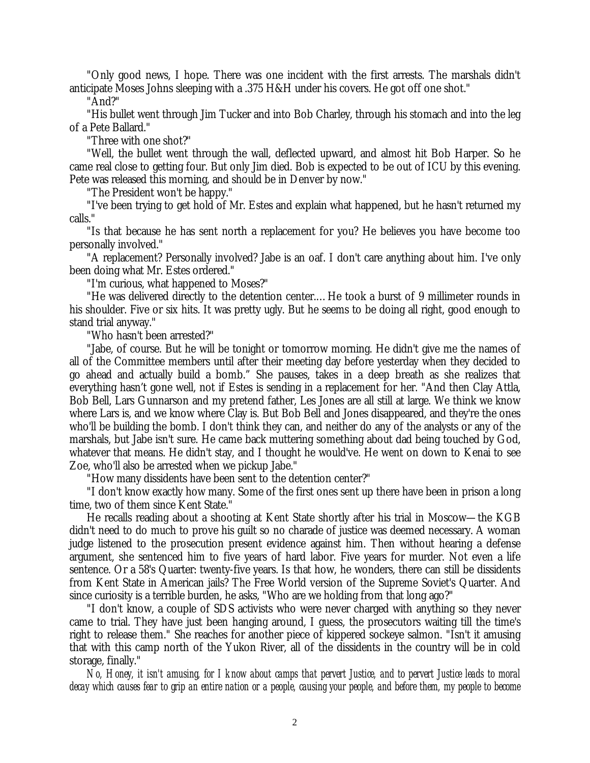"Only good news, I hope. There was one incident with the first arrests. The marshals didn't anticipate Moses Johns sleeping with a .375 H&H under his covers. He got off one shot."

"And?"

"His bullet went through Jim Tucker and into Bob Charley, through his stomach and into the leg of a Pete Ballard."

"Three with one shot?"

"Well, the bullet went through the wall, deflected upward, and almost hit Bob Harper. So he came real close to getting four. But only Jim died. Bob is expected to be out of ICU by this evening. Pete was released this morning, and should be in Denver by now."

"The President won't be happy."

"I've been trying to get hold of Mr. Estes and explain what happened, but he hasn't returned my calls."

"Is that because he has sent north a replacement for you? He believes you have become too personally involved."

"A replacement? Personally involved? Jabe is an oaf. I don't care anything about him. I've only been doing what Mr. Estes ordered."

"I'm curious, what happened to Moses?"

"He was delivered directly to the detention center.… He took a burst of 9 millimeter rounds in his shoulder. Five or six hits. It was pretty ugly. But he seems to be doing all right, good enough to stand trial anyway."

"Who hasn't been arrested?"

"Jabe, of course. But he will be tonight or tomorrow morning. He didn't give me the names of all of the Committee members until after their meeting day before yesterday when they decided to go ahead and actually build a bomb." She pauses, takes in a deep breath as she realizes that everything hasn't gone well, not if Estes is sending in a replacement for her. "And then Clay Attla, Bob Bell, Lars Gunnarson and my pretend father, Les Jones are all still at large. We think we know where Lars is, and we know where Clay is. But Bob Bell and Jones disappeared, and they're the ones who'll be building the bomb. I don't think they can, and neither do any of the analysts or any of the marshals, but Jabe isn't sure. He came back muttering something about dad being touched by God, whatever that means. He didn't stay, and I thought he would've. He went on down to Kenai to see Zoe, who'll also be arrested when we pickup Jabe."

"How many dissidents have been sent to the detention center?"

"I don't know exactly how many. Some of the first ones sent up there have been in prison a long time, two of them since Kent State."

He recalls reading about a shooting at Kent State shortly after his trial in Moscow— the KGB didn't need to do much to prove his guilt so no charade of justice was deemed necessary. A woman judge listened to the prosecution present evidence against him. Then without hearing a defense argument, she sentenced him to five years of hard labor. Five years for murder. Not even a life sentence. Or a 58's Quarter: twenty-five years. Is that how, he wonders, there can still be dissidents from Kent State in American jails? The Free World version of the Supreme Soviet's Quarter. And since curiosity is a terrible burden, he asks, "Who are we holding from that long ago?"

"I don't know, a couple of SDS activists who were never charged with anything so they never came to trial. They have just been hanging around, I guess, the prosecutors waiting till the time's right to release them." She reaches for another piece of kippered sockeye salmon. "Isn't it amusing that with this camp north of the Yukon River, all of the dissidents in the country will be in cold storage, finally."

*No, Honey, it isn't amusing, for I know about camps that pervert Justice, and to pervert Justice leads to moral decay which causes fear to grip an entire nation or a people, causing your people, and before them, my people to become*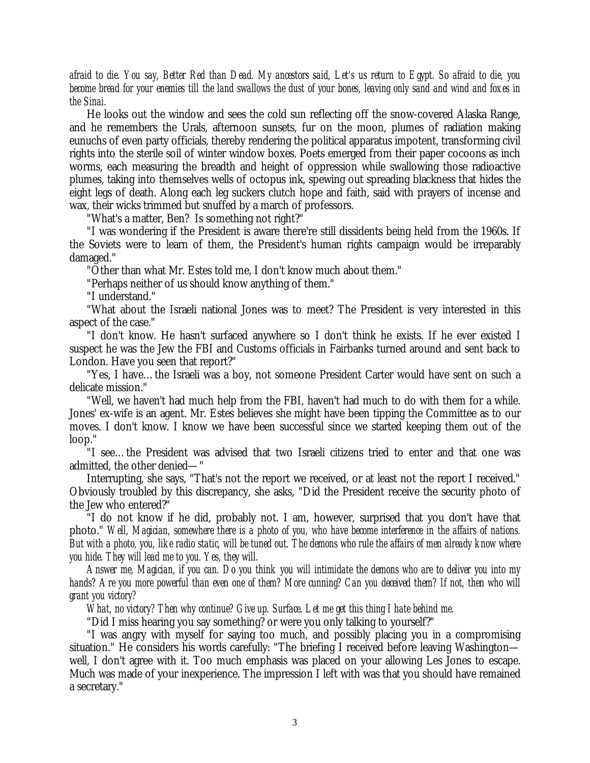*afraid to die. You say, Better Red than Dead. My ancestors said, Let's us return to Egypt. So afraid to die, you become bread for your enemies till the land swallows the dust of your bones, leaving only sand and wind and foxes in the Sinai.*

He looks out the window and sees the cold sun reflecting off the snow-covered Alaska Range, and he remembers the Urals, afternoon sunsets, fur on the moon, plumes of radiation making eunuchs of even party officials, thereby rendering the political apparatus impotent, transforming civil rights into the sterile soil of winter window boxes. Poets emerged from their paper cocoons as inch worms, each measuring the breadth and height of oppression while swallowing those radioactive plumes, taking into themselves wells of octopus ink, spewing out spreading blackness that hides the eight legs of death. Along each leg suckers clutch hope and faith, said with prayers of incense and wax, their wicks trimmed but snuffed by a march of professors.

"What's a matter, Ben? Is something not right?"

"I was wondering if the President is aware there're still dissidents being held from the 1960s. If the Soviets were to learn of them, the President's human rights campaign would be irreparably damaged."

"Other than what Mr. Estes told me, I don't know much about them."

"Perhaps neither of us should know anything of them."

"I understand."

"What about the Israeli national Jones was to meet? The President is very interested in this aspect of the case."

"I don't know. He hasn't surfaced anywhere so I don't think he exists. If he ever existed I suspect he was the Jew the FBI and Customs officials in Fairbanks turned around and sent back to London. Have you seen that report?"

"Yes, I have… the Israeli was a boy, not someone President Carter would have sent on such a delicate mission."

"Well, we haven't had much help from the FBI, haven't had much to do with them for a while. Jones' ex-wife is an agent. Mr. Estes believes she might have been tipping the Committee as to our moves. I don't know. I know we have been successful since we started keeping them out of the loop."

"I see… the President was advised that two Israeli citizens tried to enter and that one was admitted, the other denied— "

Interrupting, she says, "That's not the report we received, or at least not the report I received." Obviously troubled by this discrepancy, she asks, "Did the President receive the security photo of the Jew who entered?"

"I do not know if he did, probably not. I am, however, surprised that you don't have that photo." *Well, Magician, somewhere there is a photo of you, who have become interference in the affairs of nations. But with a photo, you, like radio static, will be tuned out. The demons who rule the affairs of men already know where you hide. They will lead me to you. Yes, they will.*

*Answer me, Magician, if you can. Do you think you will intimidate the demons who are to deliver you into my hands? Are you more powerful than even one of them? More cunning? Can you deceived them? If not, then who will grant you victory?*

*What, no victory? Then why continue? Give up. Surface. Let me get this thing I hate behind me.*

"Did I miss hearing you say something? or were you only talking to yourself?"

"I was angry with myself for saying too much, and possibly placing you in a compromising situation." He considers his words carefully: "The briefing I received before leaving Washington well, I don't agree with it. Too much emphasis was placed on your allowing Les Jones to escape. Much was made of your inexperience. The impression I left with was that you should have remained a secretary."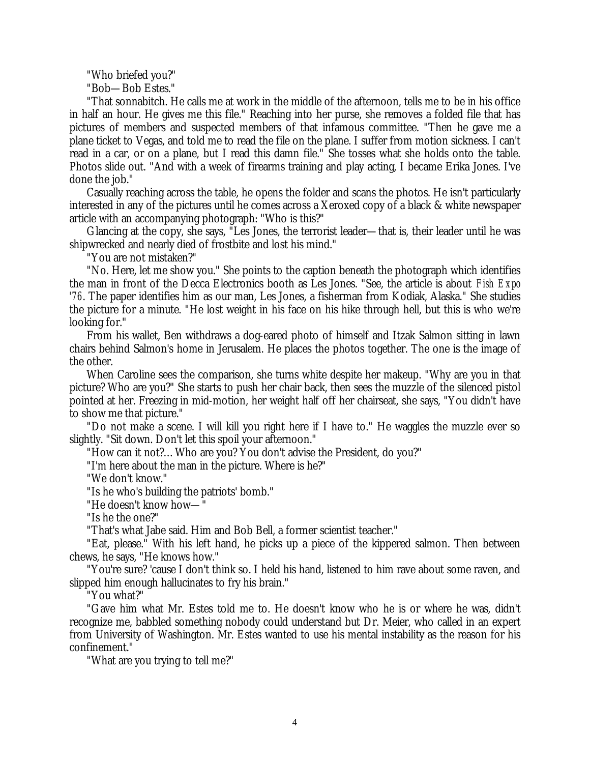"Who briefed you?"

"Bob— Bob Estes."

"That sonnabitch. He calls me at work in the middle of the afternoon, tells me to be in his office in half an hour. He gives me this file." Reaching into her purse, she removes a folded file that has pictures of members and suspected members of that infamous committee. "Then he gave me a plane ticket to Vegas, and told me to read the file on the plane. I suffer from motion sickness. I can't read in a car, or on a plane, but I read this damn file." She tosses what she holds onto the table. Photos slide out. "And with a week of firearms training and play acting, I became Erika Jones. I've done the job."

Casually reaching across the table, he opens the folder and scans the photos. He isn't particularly interested in any of the pictures until he comes across a Xeroxed copy of a black & white newspaper article with an accompanying photograph: "Who is this?"

Glancing at the copy, she says, "Les Jones, the terrorist leader— that is, their leader until he was shipwrecked and nearly died of frostbite and lost his mind."

"You are not mistaken?"

"No. Here, let me show you." She points to the caption beneath the photograph which identifies the man in front of the Decca Electronics booth as Les Jones. "See, the article is about *Fish Expo '76*. The paper identifies him as our man, Les Jones, a fisherman from Kodiak, Alaska." She studies the picture for a minute. "He lost weight in his face on his hike through hell, but this is who we're looking for."

From his wallet, Ben withdraws a dog-eared photo of himself and Itzak Salmon sitting in lawn chairs behind Salmon's home in Jerusalem. He places the photos together. The one is the image of the other.

When Caroline sees the comparison, she turns white despite her makeup. "Why are you in that picture? Who are you?" She starts to push her chair back, then sees the muzzle of the silenced pistol pointed at her. Freezing in mid-motion, her weight half off her chairseat, she says, "You didn't have to show me that picture."

"Do not make a scene. I will kill you right here if I have to." He waggles the muzzle ever so slightly. "Sit down. Don't let this spoil your afternoon."

"How can it not?… Who are you? You don't advise the President, do you?"

"I'm here about the man in the picture. Where is he?"

"We don't know."

"Is he who's building the patriots' bomb."

"He doesn't know how— "

"Is he the one?"

"That's what Jabe said. Him and Bob Bell, a former scientist teacher."

"Eat, please." With his left hand, he picks up a piece of the kippered salmon. Then between chews, he says, "He knows how."

"You're sure? 'cause I don't think so. I held his hand, listened to him rave about some raven, and slipped him enough hallucinates to fry his brain."

"You what?"

"Gave him what Mr. Estes told me to. He doesn't know who he is or where he was, didn't recognize me, babbled something nobody could understand but Dr. Meier, who called in an expert from University of Washington. Mr. Estes wanted to use his mental instability as the reason for his confinement."

"What are you trying to tell me?"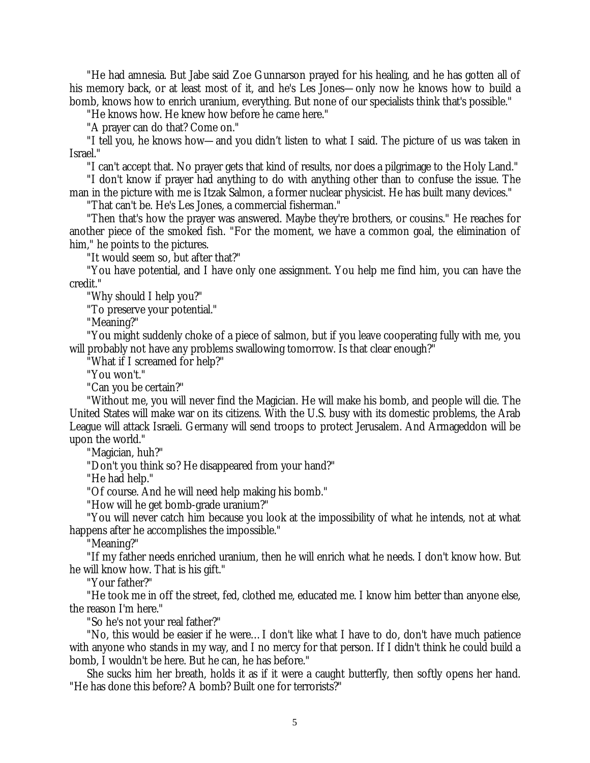"He had amnesia. But Jabe said Zoe Gunnarson prayed for his healing, and he has gotten all of his memory back, or at least most of it, and he's Les Jones— only now he knows how to build a bomb, knows how to enrich uranium, everything. But none of our specialists think that's possible."

"He knows how. He knew how before he came here."

"A prayer can do that? Come on."

"I tell you, he knows how— and you didn't listen to what I said. The picture of us was taken in Israel."

"I can't accept that. No prayer gets that kind of results, nor does a pilgrimage to the Holy Land."

"I don't know if prayer had anything to do with anything other than to confuse the issue. The man in the picture with me is Itzak Salmon, a former nuclear physicist. He has built many devices."

"That can't be. He's Les Jones, a commercial fisherman."

"Then that's how the prayer was answered. Maybe they're brothers, or cousins." He reaches for another piece of the smoked fish. "For the moment, we have a common goal, the elimination of him," he points to the pictures.

"It would seem so, but after that?"

"You have potential, and I have only one assignment. You help me find him, you can have the credit."

"Why should I help you?"

"To preserve your potential."

"Meaning?"

"You might suddenly choke of a piece of salmon, but if you leave cooperating fully with me, you will probably not have any problems swallowing tomorrow. Is that clear enough?"

"What if I screamed for help?"

"You won't."

"Can you be certain?"

"Without me, you will never find the Magician. He will make his bomb, and people will die. The United States will make war on its citizens. With the U.S. busy with its domestic problems, the Arab League will attack Israeli. Germany will send troops to protect Jerusalem. And Armageddon will be upon the world."

"Magician, huh?"

"Don't you think so? He disappeared from your hand?"

"He had help."

"Of course. And he will need help making his bomb."

"How will he get bomb-grade uranium?"

"You will never catch him because you look at the impossibility of what he intends, not at what happens after he accomplishes the impossible."

"Meaning?"

"If my father needs enriched uranium, then he will enrich what he needs. I don't know how. But he will know how. That is his gift."

"Your father?"

"He took me in off the street, fed, clothed me, educated me. I know him better than anyone else, the reason I'm here."

"So he's not your real father?"

"No, this would be easier if he were… I don't like what I have to do, don't have much patience with anyone who stands in my way, and I no mercy for that person. If I didn't think he could build a bomb, I wouldn't be here. But he can, he has before."

She sucks him her breath, holds it as if it were a caught butterfly, then softly opens her hand. "He has done this before? A bomb? Built one for terrorists?"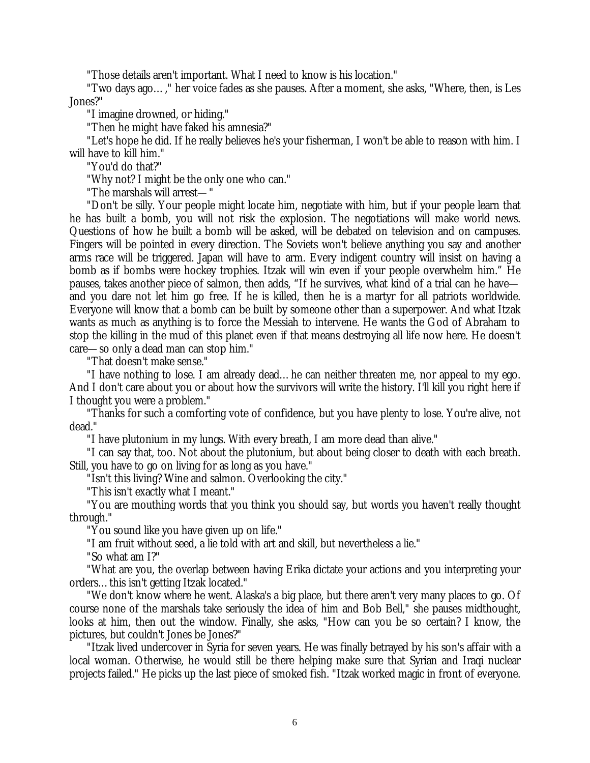"Those details aren't important. What I need to know is his location."

"Two days ago… ," her voice fades as she pauses. After a moment, she asks, "Where, then, is Les Jones?"

"I imagine drowned, or hiding."

"Then he might have faked his amnesia?"

"Let's hope he did. If he really believes he's your fisherman, I won't be able to reason with him. I will have to kill him."

"You'd do that?"

"Why not? I might be the only one who can."

"The marshals will arrest— "

"Don't be silly. Your people might locate him, negotiate with him, but if your people learn that he has built a bomb, you will not risk the explosion. The negotiations will make world news. Questions of how he built a bomb will be asked, will be debated on television and on campuses. Fingers will be pointed in every direction. The Soviets won't believe anything you say and another arms race will be triggered. Japan will have to arm. Every indigent country will insist on having a bomb as if bombs were hockey trophies. Itzak will win even if your people overwhelm him." He pauses, takes another piece of salmon, then adds, "If he survives, what kind of a trial can he have and you dare not let him go free. If he is killed, then he is a martyr for all patriots worldwide. Everyone will know that a bomb can be built by someone other than a superpower. And what Itzak wants as much as anything is to force the Messiah to intervene. He wants the God of Abraham to stop the killing in the mud of this planet even if that means destroying all life now here. He doesn't care— so only a dead man can stop him."

"That doesn't make sense."

"I have nothing to lose. I am already dead… he can neither threaten me, nor appeal to my ego. And I don't care about you or about how the survivors will write the history. I'll kill you right here if I thought you were a problem."

"Thanks for such a comforting vote of confidence, but you have plenty to lose. You're alive, not dead."

"I have plutonium in my lungs. With every breath, I am more dead than alive."

"I can say that, too. Not about the plutonium, but about being closer to death with each breath. Still, you have to go on living for as long as you have."

"Isn't this living? Wine and salmon. Overlooking the city."

"This isn't exactly what I meant."

"You are mouthing words that you think you should say, but words you haven't really thought through."

"You sound like you have given up on life."

"I am fruit without seed, a lie told with art and skill, but nevertheless a lie."

"So what am I?"

"What are you, the overlap between having Erika dictate your actions and you interpreting your orders… this isn't getting Itzak located."

"We don't know where he went. Alaska's a big place, but there aren't very many places to go. Of course none of the marshals take seriously the idea of him and Bob Bell," she pauses midthought, looks at him, then out the window. Finally, she asks, "How can you be so certain? I know, the pictures, but couldn't Jones be Jones?"

"Itzak lived undercover in Syria for seven years. He was finally betrayed by his son's affair with a local woman. Otherwise, he would still be there helping make sure that Syrian and Iraqi nuclear projects failed." He picks up the last piece of smoked fish. "Itzak worked magic in front of everyone.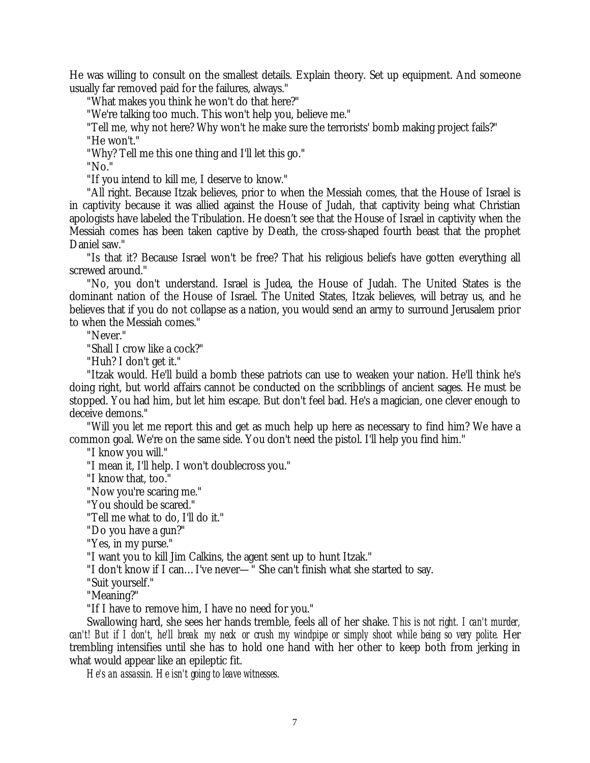He was willing to consult on the smallest details. Explain theory. Set up equipment. And someone usually far removed paid for the failures, always."

"What makes you think he won't do that here?"

"We're talking too much. This won't help you, believe me."

"Tell me, why not here? Why won't he make sure the terrorists' bomb making project fails?" "He won't."

"Why? Tell me this one thing and I'll let this go."

"No."

"If you intend to kill me, I deserve to know."

"All right. Because Itzak believes, prior to when the Messiah comes, that the House of Israel is in captivity because it was allied against the House of Judah, that captivity being what Christian apologists have labeled the Tribulation. He doesn't see that the House of Israel in captivity when the Messiah comes has been taken captive by Death, the cross-shaped fourth beast that the prophet Daniel saw."

"Is that it? Because Israel won't be free? That his religious beliefs have gotten everything all screwed around."

"No, you don't understand. Israel is Judea, the House of Judah. The United States is the dominant nation of the House of Israel. The United States, Itzak believes, will betray us, and he believes that if you do not collapse as a nation, you would send an army to surround Jerusalem prior to when the Messiah comes."

"Never."

"Shall I crow like a cock?"

"Huh? I don't get it."

"Itzak would. He'll build a bomb these patriots can use to weaken your nation. He'll think he's doing right, but world affairs cannot be conducted on the scribblings of ancient sages. He must be stopped. You had him, but let him escape. But don't feel bad. He's a magician, one clever enough to deceive demons."

"Will you let me report this and get as much help up here as necessary to find him? We have a common goal. We're on the same side. You don't need the pistol. I'll help you find him."

"I know you will."

"I mean it, I'll help. I won't doublecross you."

"I know that, too."

"Now you're scaring me."

"You should be scared."

"Tell me what to do, I'll do it."

"Do you have a gun?"

"Yes, in my purse."

"I want you to kill Jim Calkins, the agent sent up to hunt Itzak."

"I don't know if I can... I've never—" She can't finish what she started to say.

"Suit yourself."

"Meaning?"

"If I have to remove him, I have no need for you."

Swallowing hard, she sees her hands tremble, feels all of her shake. *This is not right. I can't murder, can't! But if I don't, he'll break my neck or crush my windpipe or simply shoot while being so very polite.* Her trembling intensifies until she has to hold one hand with her other to keep both from jerking in what would appear like an epileptic fit.

*He's an assassin. He isn't going to leave witnesses.*